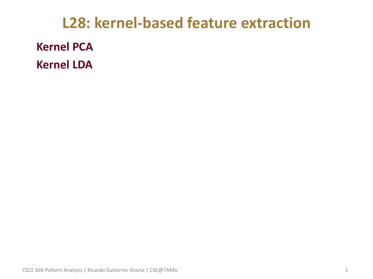# **L28: kernel-based feature extraction**

• **Kernel PCA** • **Kernel LDA**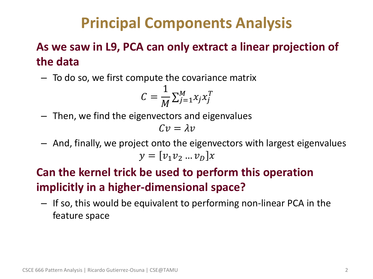# **Principal Components Analysis**

## • **As we saw in L9, PCA can only extract a linear projection of the data**

– To do so, we first compute the covariance matrix

$$
C = \frac{1}{M} \sum_{j=1}^{M} x_j x_j^T
$$

– Then, we find the eigenvectors and eigenvalues

$$
\mathcal{C}\nu=\lambda\nu
$$

– And, finally, we project onto the eigenvectors with largest eigenvalues  $y = [v_1 v_2 ... v_n]x$ 

## • **Can the kernel trick be used to perform this operation implicitly in a higher-dimensional space?**

– If so, this would be equivalent to performing non-linear PCA in the feature space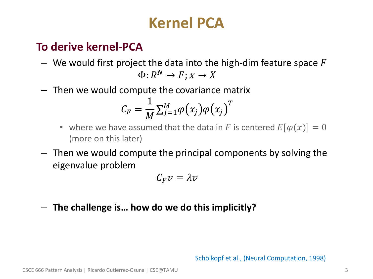# **Kernel PCA**

### • **To derive kernel-PCA**

- $-$  We would first project the data into the high-dim feature space  $F$  $\Phi: R^N \to F$ ;  $x \to X$
- Then we would compute the covariance matrix

$$
C_F = \frac{1}{M} \sum_{j=1}^{M} \varphi(x_j) \varphi(x_j)^T
$$

- where we have assumed that the data in F is centered  $E[\varphi(x)] = 0$ (more on this later)
- Then we would compute the principal components by solving the eigenvalue problem

$$
\mathcal{C}_F v = \lambda v
$$

– **The challenge is… how do we do this implicitly?**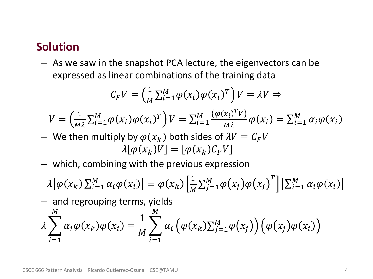#### • **Solution**

– As we saw in the snapshot PCA lecture, the eigenvectors can be expressed as linear combinations of the training data

$$
C_F V = \left(\frac{1}{M}\sum_{i=1}^M \varphi(x_i)\varphi(x_i)^T\right) V = \lambda V \Rightarrow
$$
  

$$
V = \left(\frac{1}{M\lambda}\sum_{i=1}^M \varphi(x_i)\varphi(x_i)^T\right) V = \sum_{i=1}^M \frac{(\varphi(x_i)^T V)}{M\lambda} \varphi(x_i) = \sum_{i=1}^M \alpha_i \varphi(x_i)
$$

- We then multiply by  $\varphi(x_k)$  both sides of  $\lambda V = C_F V$  $\lambda[\varphi(x_k)V] = [\varphi(x_k)C_FV]$
- which, combining with the previous expression

$$
\lambda[\varphi(x_k)\sum_{i=1}^M \alpha_i \varphi(x_i)] = \varphi(x_k) \left[\frac{1}{M} \sum_{j=1}^M \varphi(x_j) \varphi(x_j)^T\right] \left[\sum_{i=1}^M \alpha_i \varphi(x_i)\right]
$$

$$
- \text{ and regrouping terms, yields}
$$
\n
$$
\lambda \sum_{i=1}^{M} \alpha_i \varphi(x_k) \varphi(x_i) = \frac{1}{M} \sum_{i=1}^{M} \alpha_i \left( \varphi(x_k) \sum_{j=1}^{M} \varphi(x_j) \right) \left( \varphi(x_j) \varphi(x_i) \right)
$$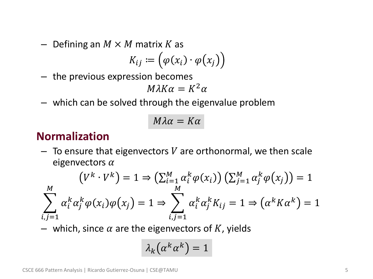- Defining an  $M \times M$  matrix K as

$$
K_{ij} \coloneqq \big(\varphi(x_i) \cdot \varphi(x_j)\big)
$$

– the previous expression becomes

$$
M\lambda K\alpha = K^2\alpha
$$

– which can be solved through the eigenvalue problem

$$
M\lambda\alpha=K\alpha
$$

### • **Normalization**

 $-$  To ensure that eigenvectors V are orthonormal, we then scale eigenvectors  $\alpha$ 

$$
(V^k \cdot V^k) = 1 \Rightarrow \left(\sum_{i=1}^M \alpha_i^k \varphi(x_i)\right) \left(\sum_{j=1}^M \alpha_j^k \varphi(x_j)\right) = 1
$$
  

$$
\sum_{i,j=1}^M \alpha_i^k \alpha_j^k \varphi(x_i) \varphi(x_j) = 1 \Rightarrow \sum_{i,j=1}^M \alpha_i^k \alpha_j^k K_{ij} = 1 \Rightarrow (\alpha^k K \alpha^k) = 1
$$

– which, since  $\alpha$  are the eigenvectors of K, yields

$$
\lambda_k\big(\alpha^k\alpha^k\big)=1
$$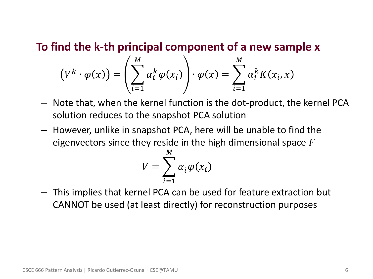• **To find the k-th principal component of a new sample x**

$$
(V^k \cdot \varphi(x)) = \left(\sum_{i=1}^M \alpha_i^k \varphi(x_i)\right) \cdot \varphi(x) = \sum_{i=1}^M \alpha_i^k K(x_i, x)
$$

- Note that, when the kernel function is the dot-product, the kernel PCA solution reduces to the snapshot PCA solution
- However, unlike in snapshot PCA, here will be unable to find the eigenvectors since they reside in the high dimensional space  $F$

$$
V = \sum_{i=1}^{M} \alpha_i \varphi(x_i)
$$

– This implies that kernel PCA can be used for feature extraction but CANNOT be used (at least directly) for reconstruction purposes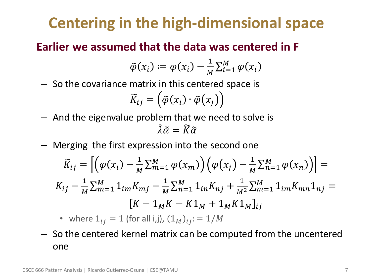# **Centering in the high-dimensional space**

#### • **Earlier we assumed that the data was centered in F**

$$
\tilde{\varphi}(x_i) := \varphi(x_i) - \frac{1}{M} \sum_{i=1}^{M} \varphi(x_i)
$$

– So the covariance matrix in this centered space is

$$
\widetilde{K}_{ij} = (\widetilde{\varphi}(x_i) \cdot \widetilde{\varphi}(x_j))
$$

- And the eigenvalue problem that we need to solve is  $\tilde{\lambda} \tilde{\alpha} = \tilde{K} \tilde{\alpha}$
- Merging the first expression into the second one

$$
\widetilde{K}_{ij} = \left[ \left( \varphi(x_i) - \frac{1}{M} \sum_{m=1}^{M} \varphi(x_m) \right) \left( \varphi(x_j) - \frac{1}{M} \sum_{n=1}^{M} \varphi(x_n) \right) \right] =
$$
\n
$$
K_{ij} - \frac{1}{M} \sum_{m=1}^{M} \mathbf{1}_{im} K_{mj} - \frac{1}{M} \sum_{n=1}^{M} \mathbf{1}_{in} K_{nj} + \frac{1}{M^2} \sum_{m=1}^{M} \mathbf{1}_{im} K_{mn} \mathbf{1}_{nj} =
$$
\n
$$
\left[ K - \mathbf{1}_M K - K \mathbf{1}_M + \mathbf{1}_M K \mathbf{1}_M \right]_{ij}
$$

• where 
$$
1_{ij} = 1
$$
 (for all i,j),  $(1_M)_{ij} := 1/M$ 

– So the centered kernel matrix can be computed from the uncentered one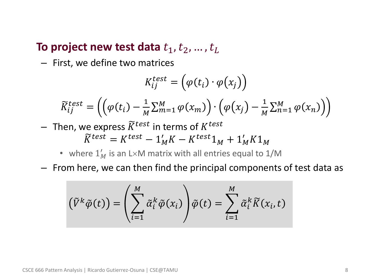#### **To project new test data**  $t_1, t_2, ..., t_L$

– First, we define two matrices

$$
K_{ij}^{test} = (\varphi(t_i) \cdot \varphi(x_j))
$$
  
\n
$$
\widetilde{K}_{ij}^{test} = ((\varphi(t_i) - \frac{1}{M} \sum_{m=1}^{M} \varphi(x_m)) \cdot (\varphi(x_j) - \frac{1}{M} \sum_{n=1}^{M} \varphi(x_n)))
$$
  
\n– Then, we express  $\widetilde{K}^{test}$  in terms of  $K^{test}$   
\n
$$
\widetilde{K}^{test} = K^{test} - 1_M' K - K^{test} 1_M + 1_M' K 1_M
$$
  
\n• where  $1_M'$  is an L×M matrix with all entries equal to 1/M

– From here, we can then find the principal components of test data as

$$
(\tilde{V}^k \tilde{\varphi}(t)) = \left(\sum_{i=1}^M \tilde{\alpha}_i^k \tilde{\varphi}(x_i)\right) \tilde{\varphi}(t) = \sum_{i=1}^M \tilde{\alpha}_i^k \tilde{K}(x_i, t)
$$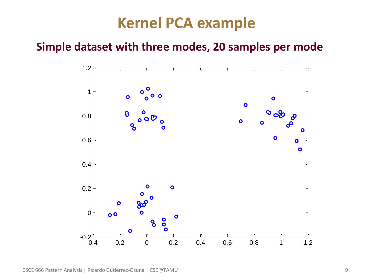## **Kernel PCA example**

#### • **Simple dataset with three modes, 20 samples per mode**

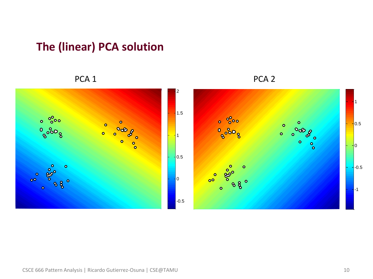### • **The (linear) PCA solution**

PCA<sub>1</sub>

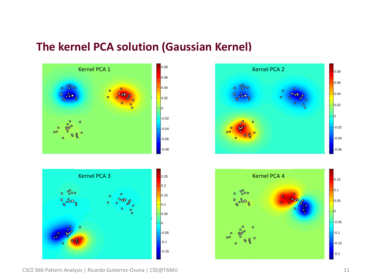#### • **The kernel PCA solution (Gaussian Kernel)**









CSCE 666 Pattern Analysis | Ricardo Gutierrez-Osuna | CSE@TAMU 11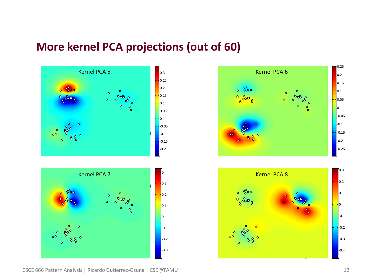#### • **More kernel PCA projections (out of 60)**









CSCE 666 Pattern Analysis | Ricardo Gutierrez-Osuna | CSE@TAMU 12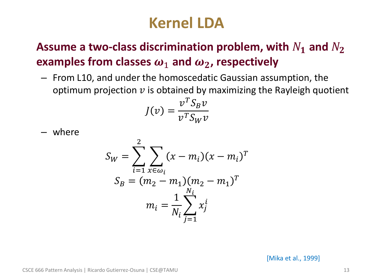# **Kernel LDA**

## Assume a two-class discrimination problem, with  $N_1$  and  $N_2$ **examples from classes**  $\omega_1$  **and**  $\omega_2$ **, respectively**

– From L10, and under the homoscedatic Gaussian assumption, the optimum projection  $v$  is obtained by maximizing the Rayleigh quotient

$$
J(v) = \frac{v^T S_B v}{v^T S_W v}
$$

– where

$$
S_W = \sum_{i=1}^{2} \sum_{x \in \omega_i} (x - m_i)(x - m_i)^T
$$
  

$$
S_B = (m_2 - m_1)(m_2 - m_1)^T
$$
  

$$
m_i = \frac{1}{N_i} \sum_{j=1}^{N_i} x_j^i
$$

[Mika et al., 1999]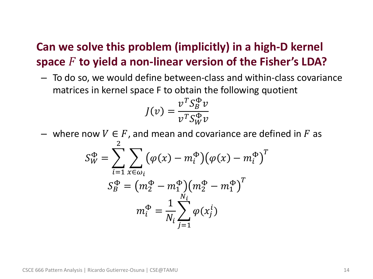### • **Can we solve this problem (implicitly) in a high-D kernel space to yield a non-linear version of the Fisher's LDA?**

– To do so, we would define between-class and within-class covariance matrices in kernel space F to obtain the following quotient

$$
J(v) = \frac{v^T S_B^{\Phi} v}{v^T S_W^{\Phi} v}
$$

– where now  $V \in F$ , and mean and covariance are defined in F as

$$
S_{W}^{\Phi} = \sum_{i=1}^{2} \sum_{x \in \omega_{i}} (\varphi(x) - m_{i}^{\Phi})(\varphi(x) - m_{i}^{\Phi})^{T}
$$

$$
S_{B}^{\Phi} = (m_{2}^{\Phi} - m_{1}^{\Phi})(m_{2}^{\Phi} - m_{1}^{\Phi})^{T}
$$

$$
m_{i}^{\Phi} = \frac{1}{N_{i}} \sum_{j=1}^{N_{i}} \varphi(x_{j}^{i})
$$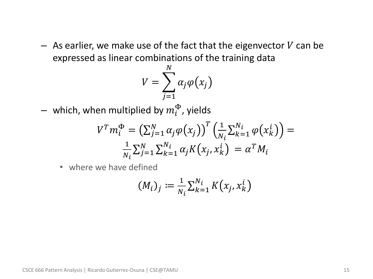$-$  As earlier, we make use of the fact that the eigenvector V can be expressed as linear combinations of the training data

$$
V=\sum_{j=1}^N \alpha_j \varphi(x_j)
$$

 $\overline{M}$ 

 $-$  which, when multiplied by  $m_l^\Phi$ , yields

$$
V^T m_i^{\Phi} = \left(\sum_{j=1}^N \alpha_j \varphi(x_j)\right)^T \left(\frac{1}{N_i} \sum_{k=1}^{N_i} \varphi(x_k^i)\right) = \frac{1}{N_i} \sum_{j=1}^N \sum_{k=1}^{N_i} \alpha_j K(x_j, x_k^i) = \alpha^T M_i
$$

• where we have defined

$$
(M_i)_j := \frac{1}{N_i} \sum_{k=1}^{N_i} K(x_j, x_k^i)
$$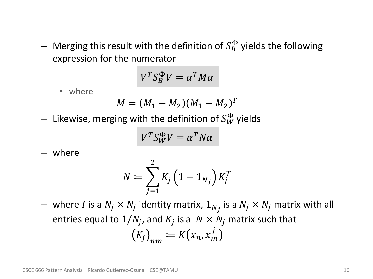$-$  Merging this result with the definition of  $S^{\Phi}_{B}$  yields the following expression for the numerator

$$
V^T S_B^{\Phi} V = \alpha^T M \alpha
$$

• where

$$
M = (M_1 - M_2)(M_1 - M_2)^T
$$

 $-$  Likewise, merging with the definition of  $S^{\Phi}_W$  yields

$$
V^T S_W^{\Phi} V = \alpha^T N \alpha
$$

– where

$$
N := \sum_{j=1}^{2} K_j \left( 1 - 1_{N_j} \right) K_j^T
$$

— where  $I$  is a  $N_j \times N_j$  identity matrix,  $1_{N_j}$  is a  $N_j \times N_j$  matrix with all entries equal to  $1/N_j$ , and  $K_j$  is a  $N \times N_j$  matrix such that  $(K_j)_{nm} \coloneqq K(x_n, x_m^j)$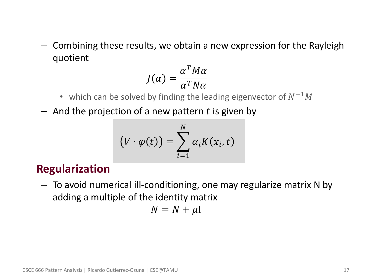– Combining these results, we obtain a new expression for the Rayleigh quotient

$$
J(\alpha) = \frac{\alpha^T M \alpha}{\alpha^T N \alpha}
$$

- which can be solved by finding the leading eigenvector of  $N^{-1}M$
- And the projection of a new pattern  $t$  is given by

$$
(V \cdot \varphi(t)) = \sum_{i=1}^{N} \alpha_i K(x_i, t)
$$

#### • **Regularization**

– To avoid numerical ill-conditioning, one may regularize matrix N by adding a multiple of the identity matrix

$$
N = N + \mu I
$$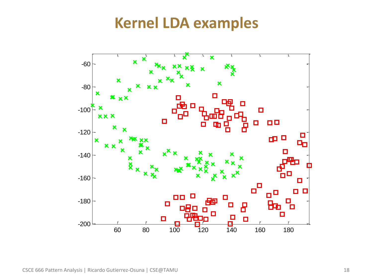## **Kernel LDA examples**

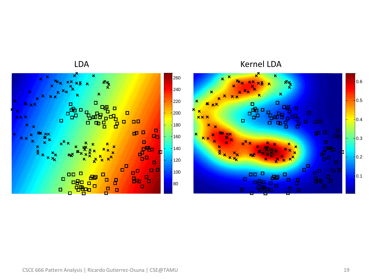

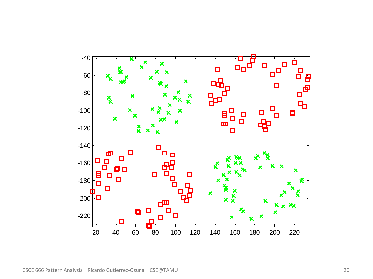